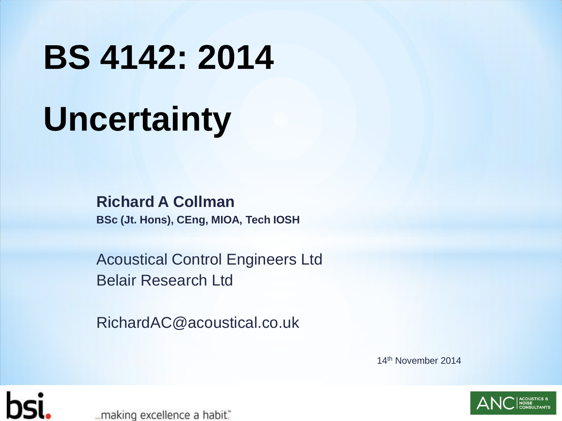# **BS 4142: 2014 Uncertainty**

**Richard A Collman BSc (Jt. Hons), CEng, MIOA, Tech IOSH**

Acoustical Control Engineers Ltd Belair Research Ltd

RichardAC@acoustical.co.uk

14th November 2014



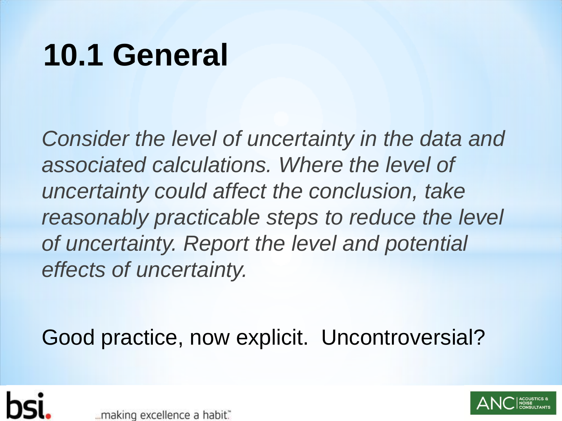#### **10.1 General**

*Consider the level of uncertainty in the data and associated calculations. Where the level of uncertainty could affect the conclusion, take reasonably practicable steps to reduce the level of uncertainty. Report the level and potential effects of uncertainty.*

Good practice, now explicit. Uncontroversial?





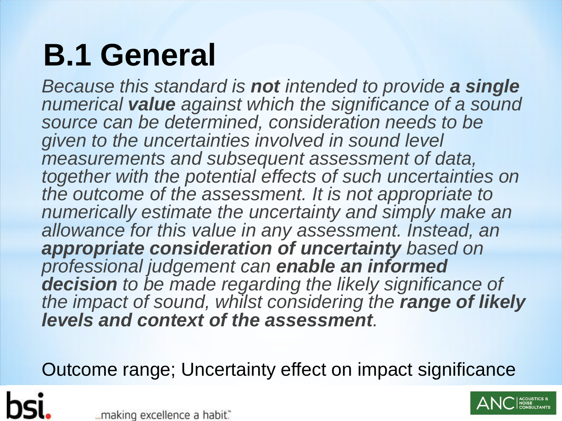# **B.1 General**

*Because this standard is not intended to provide a single numerical value against which the significance of a sound source can be determined, consideration needs to be given to the uncertainties involved in sound level measurements and subsequent assessment of data, together with the potential effects of such uncertainties on the outcome of the assessment. It is not appropriate to numerically estimate the uncertainty and simply make an allowance for this value in any assessment. Instead, an appropriate consideration of uncertainty based on professional judgement can enable an informed decision to be made regarding the likely significance of the impact of sound, whilst considering the range of likely levels and context of the assessment.*

Outcome range; Uncertainty effect on impact significance

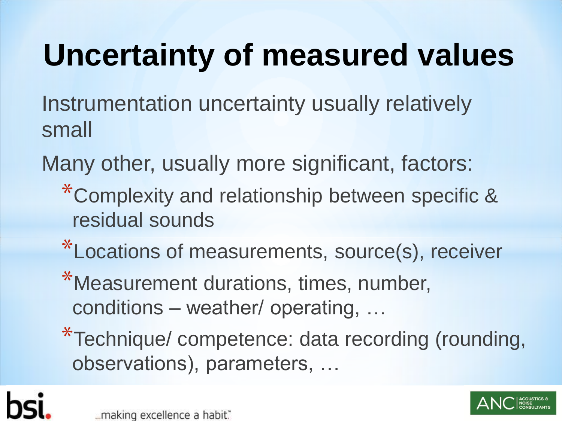# **Uncertainty of measured values**

Instrumentation uncertainty usually relatively small

Many other, usually more significant, factors:

- \*Complexity and relationship between specific & residual sounds
- \*Locations of measurements, source(s), receiver
- \*Measurement durations, times, number, conditions – weather/ operating, …
- \*Technique/ competence: data recording (rounding, observations), parameters, …



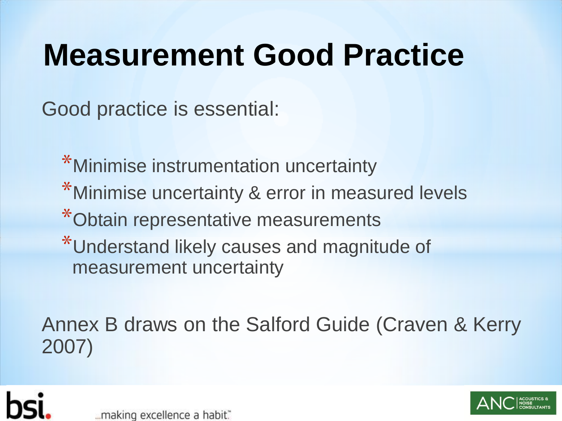#### **Measurement Good Practice**

Good practice is essential:

\*Minimise instrumentation uncertainty \*Minimise uncertainty & error in measured levels \*Obtain representative measurements \*Understand likely causes and magnitude of measurement uncertainty

Annex B draws on the Salford Guide (Craven & Kerry 2007)





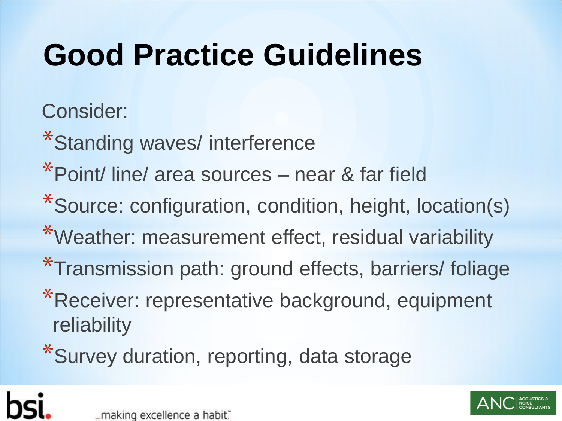# **Good Practice Guidelines**

Consider:

\*Standing waves/ interference

\*Point/ line/ area sources – near & far field

- \*Source: configuration, condition, height, location(s)
- \*Weather: measurement effect, residual variability
- \*Transmission path: ground effects, barriers/ foliage
- \*Receiver: representative background, equipment reliability

\*Survey duration, reporting, data storage



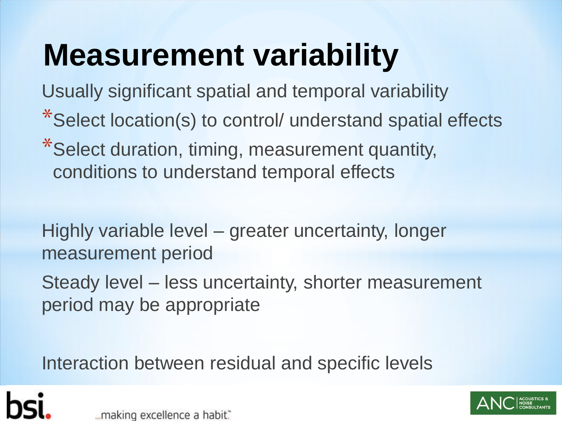### **Measurement variability**

Usually significant spatial and temporal variability

- \*Select location(s) to control/ understand spatial effects
- \*Select duration, timing, measurement quantity, conditions to understand temporal effects

Highly variable level – greater uncertainty, longer measurement period

Steady level – less uncertainty, shorter measurement period may be appropriate

Interaction between residual and specific levels



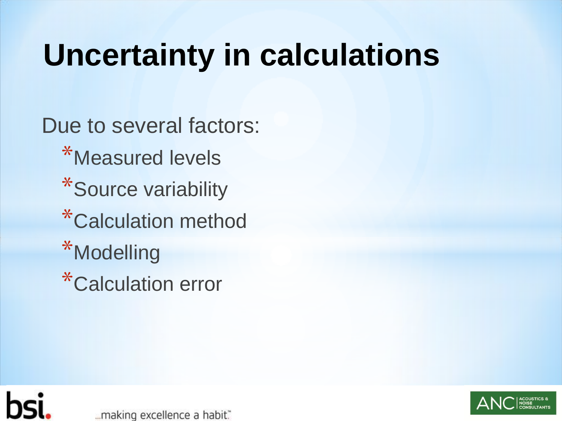#### **Uncertainty in calculations**

Due to several factors: \*Measured levels \*Source variability \*Calculation method \*Modelling \*Calculation error



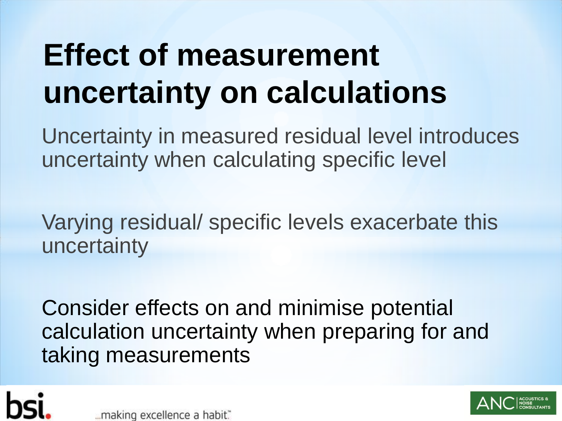# **Effect of measurement uncertainty on calculations**

Uncertainty in measured residual level introduces uncertainty when calculating specific level

Varying residual/ specific levels exacerbate this uncertainty

Consider effects on and minimise potential calculation uncertainty when preparing for and taking measurements





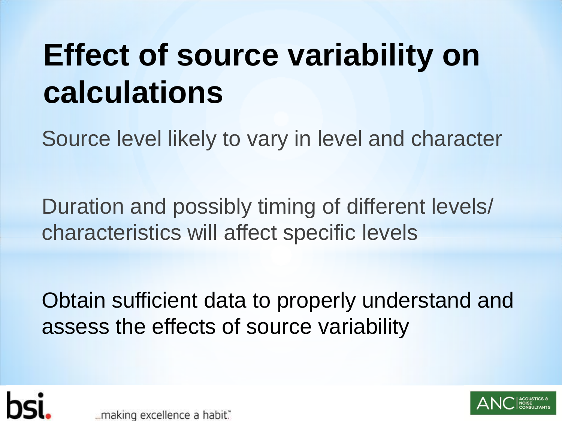### **Effect of source variability on calculations**

Source level likely to vary in level and character

Duration and possibly timing of different levels/ characteristics will affect specific levels

Obtain sufficient data to properly understand and assess the effects of source variability



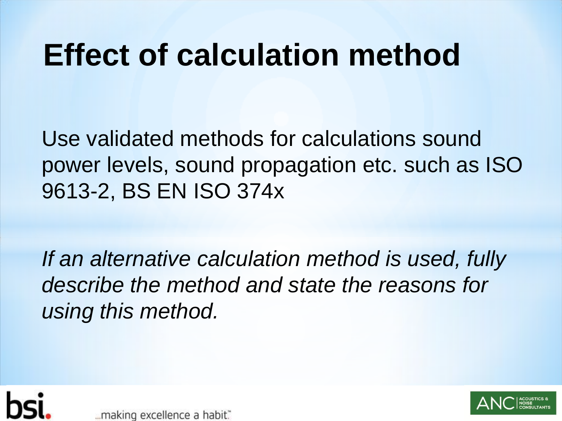#### **Effect of calculation method**

Use validated methods for calculations sound power levels, sound propagation etc. such as ISO 9613-2, BS EN ISO 374x

*If an alternative calculation method is used, fully describe the method and state the reasons for using this method.*





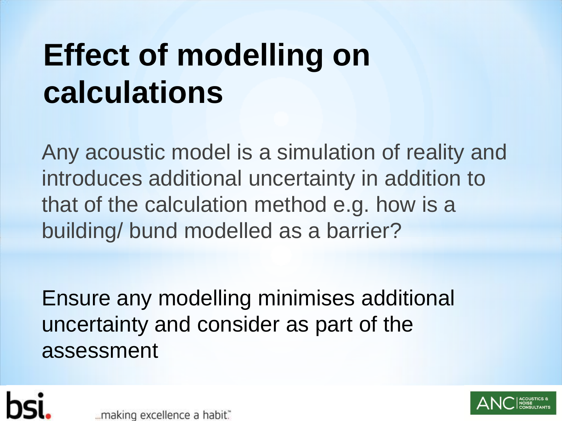## **Effect of modelling on calculations**

Any acoustic model is a simulation of reality and introduces additional uncertainty in addition to that of the calculation method e.g. how is a building/ bund modelled as a barrier?

Ensure any modelling minimises additional uncertainty and consider as part of the assessment



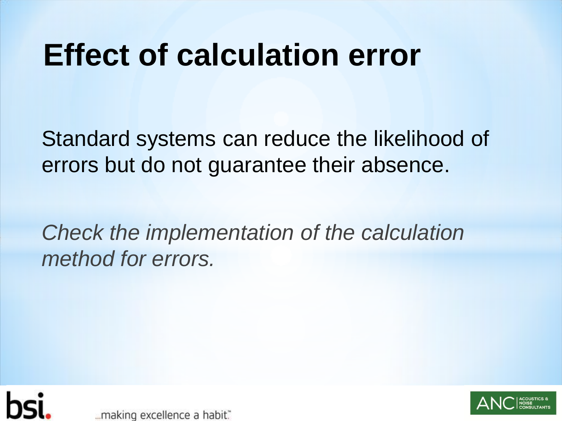#### **Effect of calculation error**

Standard systems can reduce the likelihood of errors but do not guarantee their absence.

*Check the implementation of the calculation method for errors.*



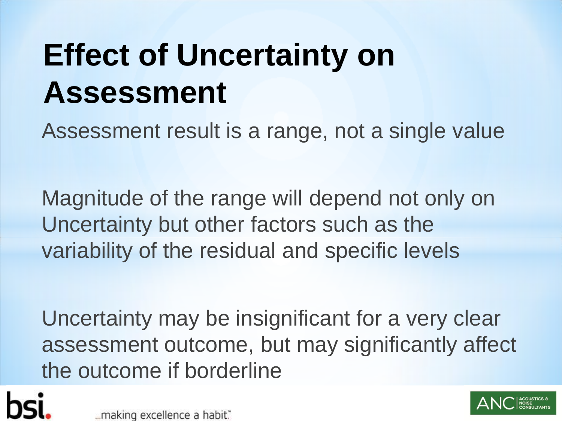# **Effect of Uncertainty on Assessment**

Assessment result is a range, not a single value

Magnitude of the range will depend not only on Uncertainty but other factors such as the variability of the residual and specific levels

Uncertainty may be insignificant for a very clear assessment outcome, but may significantly affect the outcome if borderline

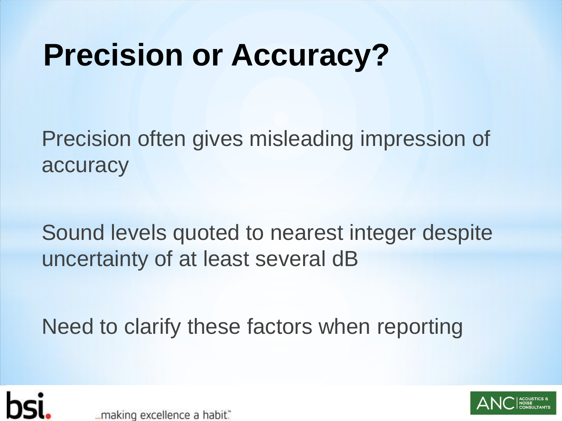#### **Precision or Accuracy?**

Precision often gives misleading impression of accuracy

Sound levels quoted to nearest integer despite uncertainty of at least several dB

Need to clarify these factors when reporting